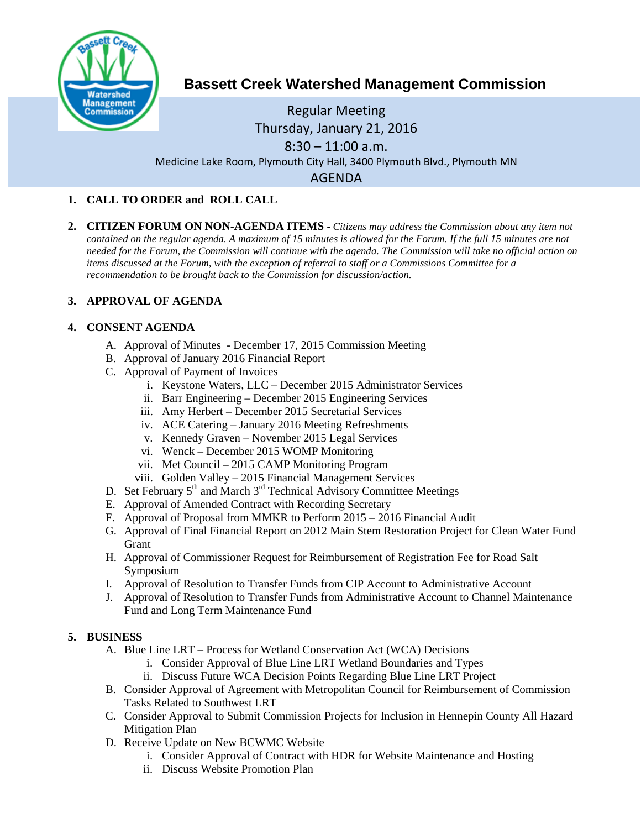

# **Bassett Creek Watershed Management Commission**

## Regular Meeting Thursday, January 21, 2016  $8:30 - 11:00$  a.m. Medicine Lake Room, Plymouth City Hall, 3400 Plymouth Blvd., Plymouth MN AGENDA

### **1. CALL TO ORDER and ROLL CALL**

**2. CITIZEN FORUM ON NON-AGENDA ITEMS -** *Citizens may address the Commission about any item not contained on the regular agenda. A maximum of 15 minutes is allowed for the Forum. If the full 15 minutes are not needed for the Forum, the Commission will continue with the agenda. The Commission will take no official action on items discussed at the Forum, with the exception of referral to staff or a Commissions Committee for a recommendation to be brought back to the Commission for discussion/action.*

## **3. APPROVAL OF AGENDA**

### **4. CONSENT AGENDA**

- A. Approval of Minutes December 17, 2015 Commission Meeting
- B. Approval of January 2016 Financial Report
- C. Approval of Payment of Invoices
	- i. Keystone Waters, LLC December 2015 Administrator Services
	- ii. Barr Engineering December 2015 Engineering Services
	- iii. Amy Herbert December 2015 Secretarial Services
	- iv. ACE Catering January 2016 Meeting Refreshments
	- v. Kennedy Graven November 2015 Legal Services
	- vi. Wenck December 2015 WOMP Monitoring
	- vii. Met Council 2015 CAMP Monitoring Program
	- viii. Golden Valley 2015 Financial Management Services
- D. Set February  $5<sup>th</sup>$  and March  $3<sup>rd</sup>$  Technical Advisory Committee Meetings
- E. Approval of Amended Contract with Recording Secretary
- F. Approval of Proposal from MMKR to Perform 2015 2016 Financial Audit
- G. Approval of Final Financial Report on 2012 Main Stem Restoration Project for Clean Water Fund **Grant**
- H. Approval of Commissioner Request for Reimbursement of Registration Fee for Road Salt Symposium
- I. Approval of Resolution to Transfer Funds from CIP Account to Administrative Account
- J. Approval of Resolution to Transfer Funds from Administrative Account to Channel Maintenance Fund and Long Term Maintenance Fund

### **5. BUSINESS**

- A. Blue Line LRT Process for Wetland Conservation Act (WCA) Decisions
	- i. Consider Approval of Blue Line LRT Wetland Boundaries and Types
	- ii. Discuss Future WCA Decision Points Regarding Blue Line LRT Project
- B. Consider Approval of Agreement with Metropolitan Council for Reimbursement of Commission Tasks Related to Southwest LRT
- C. Consider Approval to Submit Commission Projects for Inclusion in Hennepin County All Hazard Mitigation Plan
- D. Receive Update on New BCWMC Website
	- i. Consider Approval of Contract with HDR for Website Maintenance and Hosting
	- ii. Discuss Website Promotion Plan